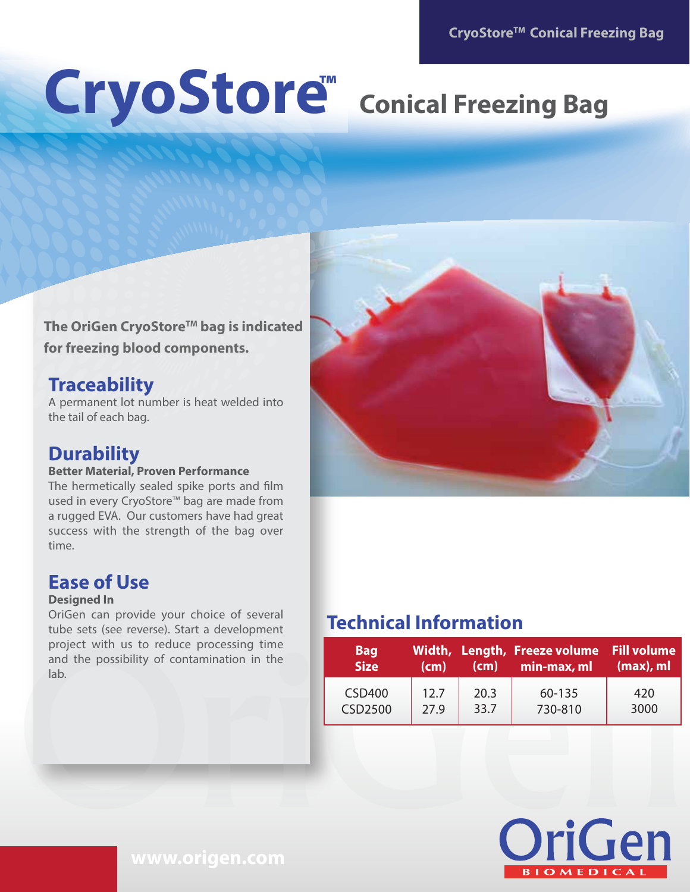# CryoStore<sup>"</sup> Conical Freezing Bag **™**

## The OriGen CryoStore<sup>™</sup> bag is indicated **for freezing blood components.**

# **Traceability**

A permanent lot number is heat welded into the tail of each bag.

# **Durability**

### **Better Material, Proven Performance**

The hermetically sealed spike ports and film used in every CryoStore™ bag are made from a rugged EVA. Our customers have had great success with the strength of the bag over time.

# **Ease of Use**

### **Designed In**

OriGen can provide your choice of several tube sets (see reverse). Start a development project with us to reduce processing time and the possibility of contamination in the lab.



# **Technical Information**

| <b>Bag</b><br><b>Size</b> | (cm) | (cm) | Width, Length, Freeze volume Fill volume<br>min-max, ml | $(max)$ , ml |
|---------------------------|------|------|---------------------------------------------------------|--------------|
| <b>CSD400</b>             | 12.7 | 20.3 | 60-135                                                  | 420          |
| <b>CSD2500</b>            | 27.9 | 33.7 | 730-810                                                 | 3000         |